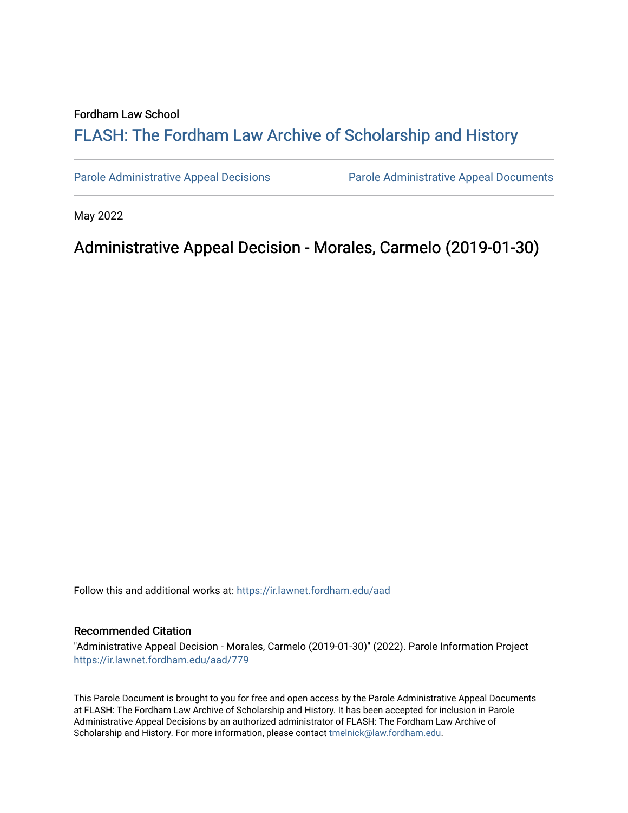## Fordham Law School

# FLASH: The For[dham Law Archive of Scholarship and Hist](https://ir.lawnet.fordham.edu/)ory

[Parole Administrative Appeal Decisions](https://ir.lawnet.fordham.edu/aad) [Parole Administrative Appeal Documents](https://ir.lawnet.fordham.edu/ad_app_docs) 

May 2022

# Administrative Appeal Decision - Morales, Carmelo (2019-01-30)

Follow this and additional works at: [https://ir.lawnet.fordham.edu/aad](https://ir.lawnet.fordham.edu/aad?utm_source=ir.lawnet.fordham.edu%2Faad%2F779&utm_medium=PDF&utm_campaign=PDFCoverPages) 

#### Recommended Citation

"Administrative Appeal Decision - Morales, Carmelo (2019-01-30)" (2022). Parole Information Project [https://ir.lawnet.fordham.edu/aad/779](https://ir.lawnet.fordham.edu/aad/779?utm_source=ir.lawnet.fordham.edu%2Faad%2F779&utm_medium=PDF&utm_campaign=PDFCoverPages) 

This Parole Document is brought to you for free and open access by the Parole Administrative Appeal Documents at FLASH: The Fordham Law Archive of Scholarship and History. It has been accepted for inclusion in Parole Administrative Appeal Decisions by an authorized administrator of FLASH: The Fordham Law Archive of Scholarship and History. For more information, please contact [tmelnick@law.fordham.edu](mailto:tmelnick@law.fordham.edu).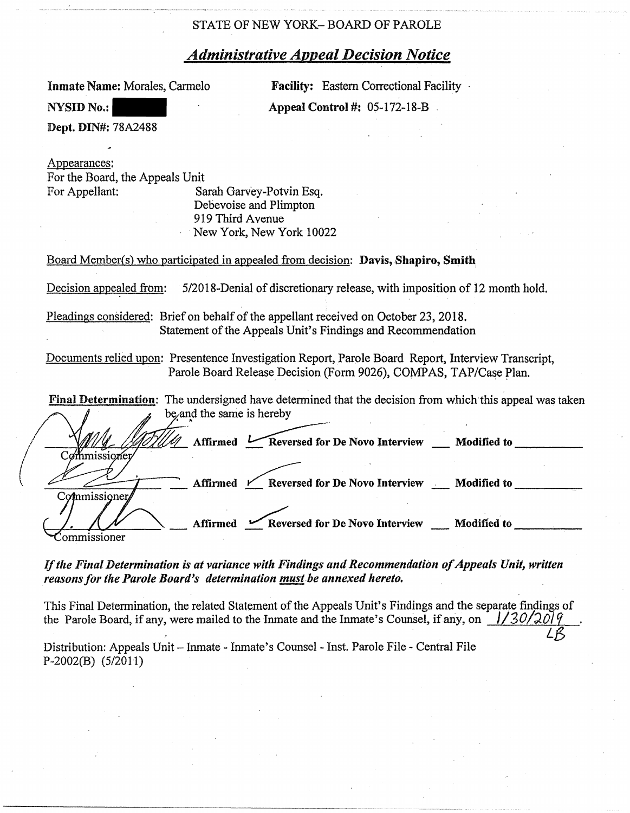# STATE OF NEW YORK- BOARD OF PAROLE

# *Administrative Appeal Decision Notice*

Inmate Name: Morales, Carmelo

**Facility:** Eastern Correctional Facility **Appeal Control** #: 0\$-172-18-B

Dept. **DIN#:** 78A2488

**NYSID No.:** 

Appearances: For the Board, the Appeals Unit For Appellant: Sarah Garvey-Potvin Esq.

Debevoise and Plimpton 919 Third Avenue New York, New York 10022

Board Member(s) who participated in appealed from decision: **Davis, Shapiro, Smith** 

Decision appealed from: 5/2018-Denial of discretionary release, with imposition of 12 month hold.

Pleadings considered: Brief on behalf of the appellant received on October 23, 2018. Statement of the Appeals Unit's Findings and Recommendation

Documents relied upon: Presentence Investigation Report, Parole Board Report, Interview Transcript, Parole Board Release Decision (Form 9026), COMPAS, TAP/Case Plan.

| <b>Final Determination:</b> The undersigned have determined that the decision from which this appeal was taken |  |
|----------------------------------------------------------------------------------------------------------------|--|
| be and the same is hereby                                                                                      |  |
| Affirmed Le Reversed for De Novo Interview __ Modified to<br>nmıssı                                            |  |
| Affirmed K Reversed for De Novo Interview Modified to                                                          |  |
| Commissioner                                                                                                   |  |
| Reversed for De Novo Interview __ Modified to<br>Affirmed                                                      |  |

# *If the Final Determination is at variance with Findings and Recommendation of Appeals Unit, written reasons for the Parole Board's determination must be annexed hereto.*

This Final Determination, the related Statement of the Appeals Unit's Findings and the separate findings of the Parole Board, if any, were mailed to the Inmate and the Inmate's Counsel, if any, on  $1/30/201\%$ Distribution: Appeals Unit- Inmate - Inmate's Counsel - Inst. Parole File - Central File

P-2002(B) (5/2011)